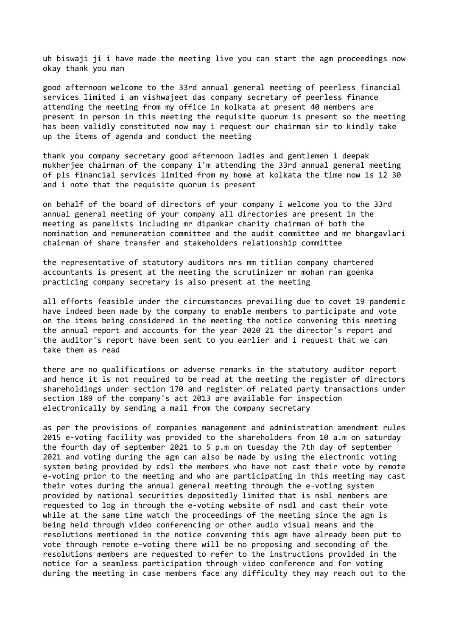uh biswaji ji i have made the meeting live you can start the agm proceedings now okay thank you man

good afternoon welcome to the 33rd annual general meeting of peerless financial services limited i am vishwajeet das company secretary of peerless finance attending the meeting from my office in kolkata at present 40 members are present in person in this meeting the requisite quorum is present so the meeting has been validly constituted now may i request our chairman sir to kindly take up the items of agenda and conduct the meeting

thank you company secretary good afternoon ladies and gentlemen i deepak mukherjee chairman of the company i'm attending the 33rd annual general meeting of pls financial services limited from my home at kolkata the time now is 12 30 and i note that the requisite quorum is present

on behalf of the board of directors of your company i welcome you to the 33rd annual general meeting of your company all directories are present in the meeting as panelists including mr dipankar charity chairman of both the nomination and remuneration committee and the audit committee and mr bhargavlari chairman of share transfer and stakeholders relationship committee

the representative of statutory auditors mrs mm titlian company chartered accountants is present at the meeting the scrutinizer mr mohan ram goenka practicing company secretary is also present at the meeting

all efforts feasible under the circumstances prevailing due to covet 19 pandemic have indeed been made by the company to enable members to participate and vote on the items being considered in the meeting the notice convening this meeting the annual report and accounts for the year 2020 21 the director's report and the auditor's report have been sent to you earlier and i request that we can take them as read

there are no qualifications or adverse remarks in the statutory auditor report and hence it is not required to be read at the meeting the register of directors shareholdings under section 170 and register of related party transactions under section 189 of the company's act 2013 are available for inspection electronically by sending a mail from the company secretary

as per the provisions of companies management and administration amendment rules 2015 e-voting facility was provided to the shareholders from 10 a.m on saturday the fourth day of september 2021 to 5 p.m on tuesday the 7th day of september 2021 and voting during the agm can also be made by using the electronic voting system being provided by cdsl the members who have not cast their vote by remote e-voting prior to the meeting and who are participating in this meeting may cast their votes during the annual general meeting through the e-voting system provided by national securities depositedly limited that is nsbl members are requested to log in through the e-voting website of nsdl and cast their vote while at the same time watch the proceedings of the meeting since the agm is being held through video conferencing or other audio visual means and the resolutions mentioned in the notice convening this agm have already been put to vote through remote e-voting there will be no proposing and seconding of the resolutions members are requested to refer to the instructions provided in the notice for a seamless participation through video conference and for voting during the meeting in case members face any difficulty they may reach out to the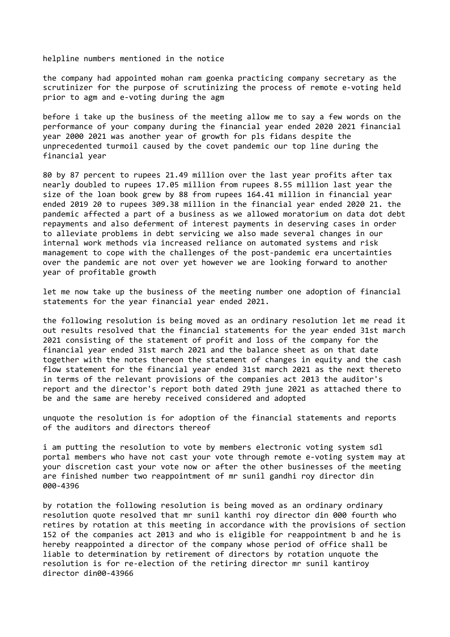helpline numbers mentioned in the notice

the company had appointed mohan ram goenka practicing company secretary as the scrutinizer for the purpose of scrutinizing the process of remote e-voting held prior to agm and e-voting during the agm

before i take up the business of the meeting allow me to say a few words on the performance of your company during the financial year ended 2020 2021 financial year 2000 2021 was another year of growth for pls fidans despite the unprecedented turmoil caused by the covet pandemic our top line during the financial year

80 by 87 percent to rupees 21.49 million over the last year profits after tax nearly doubled to rupees 17.05 million from rupees 8.55 million last year the size of the loan book grew by 88 from rupees 164.41 million in financial year ended 2019 20 to rupees 309.38 million in the financial year ended 2020 21. the pandemic affected a part of a business as we allowed moratorium on data dot debt repayments and also deferment of interest payments in deserving cases in order to alleviate problems in debt servicing we also made several changes in our internal work methods via increased reliance on automated systems and risk management to cope with the challenges of the post-pandemic era uncertainties over the pandemic are not over yet however we are looking forward to another year of profitable growth

let me now take up the business of the meeting number one adoption of financial statements for the year financial year ended 2021.

the following resolution is being moved as an ordinary resolution let me read it out results resolved that the financial statements for the year ended 31st march 2021 consisting of the statement of profit and loss of the company for the financial year ended 31st march 2021 and the balance sheet as on that date together with the notes thereon the statement of changes in equity and the cash flow statement for the financial year ended 31st march 2021 as the next thereto in terms of the relevant provisions of the companies act 2013 the auditor's report and the director's report both dated 29th june 2021 as attached there to be and the same are hereby received considered and adopted

unquote the resolution is for adoption of the financial statements and reports of the auditors and directors thereof

i am putting the resolution to vote by members electronic voting system sdl portal members who have not cast your vote through remote e-voting system may at your discretion cast your vote now or after the other businesses of the meeting are finished number two reappointment of mr sunil gandhi roy director din 000-4396

by rotation the following resolution is being moved as an ordinary ordinary resolution quote resolved that mr sunil kanthi roy director din 000 fourth who retires by rotation at this meeting in accordance with the provisions of section 152 of the companies act 2013 and who is eligible for reappointment b and he is hereby reappointed a director of the company whose period of office shall be liable to determination by retirement of directors by rotation unquote the resolution is for re-election of the retiring director mr sunil kantiroy director din00-43966